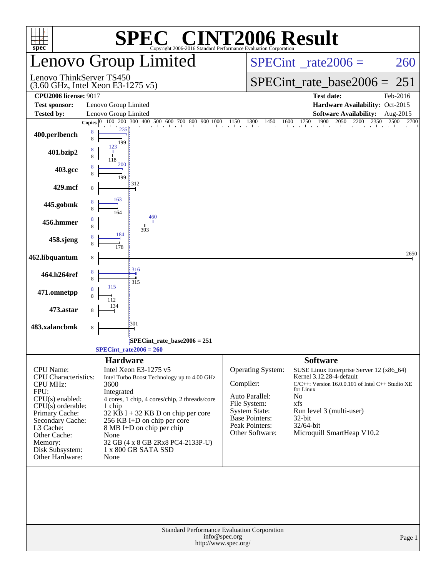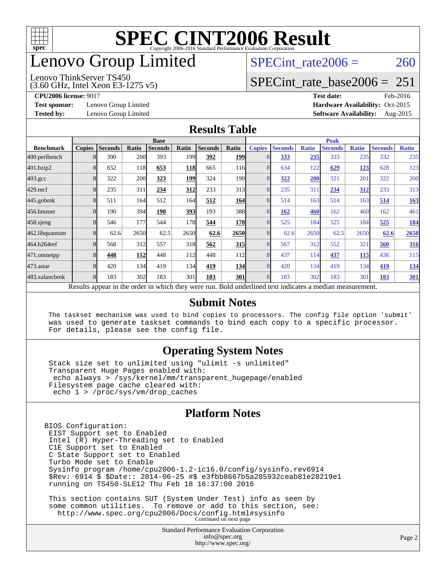

# enovo Group Limited

#### Lenovo ThinkServer TS450

SPECint rate $2006 = 260$ 

# [SPECint\\_rate\\_base2006 =](http://www.spec.org/auto/cpu2006/Docs/result-fields.html#SPECintratebase2006) 251

(3.60 GHz, Intel Xeon E3-1275 v5)

**[Test sponsor:](http://www.spec.org/auto/cpu2006/Docs/result-fields.html#Testsponsor)** Lenovo Group Limited **[Hardware Availability:](http://www.spec.org/auto/cpu2006/Docs/result-fields.html#HardwareAvailability)** Oct-2015

**[Tested by:](http://www.spec.org/auto/cpu2006/Docs/result-fields.html#Testedby)** Lenovo Group Limited **[Software Availability:](http://www.spec.org/auto/cpu2006/Docs/result-fields.html#SoftwareAvailability)** Aug-2015

**[CPU2006 license:](http://www.spec.org/auto/cpu2006/Docs/result-fields.html#CPU2006license)** 9017 **[Test date:](http://www.spec.org/auto/cpu2006/Docs/result-fields.html#Testdate)** Feb-2016

#### **[Results Table](http://www.spec.org/auto/cpu2006/Docs/result-fields.html#ResultsTable)**

|                    | <b>Base</b>   |                |       |                                                                                                          |            |                |                  | <b>Peak</b>    |                |              |                |              |                |              |
|--------------------|---------------|----------------|-------|----------------------------------------------------------------------------------------------------------|------------|----------------|------------------|----------------|----------------|--------------|----------------|--------------|----------------|--------------|
| <b>Benchmark</b>   | <b>Copies</b> | <b>Seconds</b> | Ratio | <b>Seconds</b>                                                                                           | Ratio      | <b>Seconds</b> | Ratio            | <b>Copies</b>  | <b>Seconds</b> | <b>Ratio</b> | <b>Seconds</b> | <b>Ratio</b> | <b>Seconds</b> | <b>Ratio</b> |
| 400.perlbench      | 8             | 390            | 200   | 393                                                                                                      | 199        | 392            | <b>199</b>       | 8              | 333            | 235          | 333            | 235          | 332            | 235          |
| 401.bzip2          | 8             | 652            | 118   | 653                                                                                                      | <b>118</b> | 665            | 116              | 8              | 634            | 122          | 629            | 123          | 628            | 123          |
| $403.\mathrm{gcc}$ | 8             | 322            | 200   | 323                                                                                                      | 199        | 324            | 199 <sub>1</sub> | 8              | 322            | 200          | 321            | 201          | 322            | 200          |
| $429$ .mcf         | 8             | 235            | 311   | 234                                                                                                      | 312        | 233            | 313              | 8              | 235            | 311          | 234            | 312          | 233            | 313          |
| $445$ .gobmk       | 8             | 511            | 164   | 512                                                                                                      | 164l       | 512            | 164              | 8              | 514            | 163          | 514            | 163          | 514            | <b>163</b>   |
| 456.hmmer          | 8             | 190            | 394   | 190                                                                                                      | 393        | 193            | 388              | 8              | 162            | 460          | 162            | 460          | 162            | 461          |
| $458$ .sjeng       | 8             | 546            | 177   | 544                                                                                                      | 178        | 544            | <b>178</b>       | 8              | 525            | 184          | 525            | 184          | 525            | <b>184</b>   |
| 462.libquantum     | 8             | 62.6           | 2650  | 62.5                                                                                                     | 2650       | 62.6           | 2650             | 8              | 62.6           | 2650         | 62.5           | 2650         | 62.6           | 2650         |
| 464.h264ref        | 8             | 568            | 312   | 557                                                                                                      | 318        | 562            | <b>315</b>       | 8              | 567            | 312          | 552            | 321          | 560            | <b>316</b>   |
| 471.omnetpp        | 8             | 448            | 112   | 448                                                                                                      | 112        | 448            | 112              | 8              | 437            | 114          | 437            | 115          | 436            | 115          |
| 473.astar          | 8             | 420            | 134   | 419                                                                                                      | 134        | 419            | 134              | 8              | 420            | 134          | 419            | 134          | 419            | 134          |
| 483.xalancbmk      | 8             | 183            | 302   | 183                                                                                                      | 301        | 183            | 301              | $\overline{8}$ | 183            | 302          | 183            | 301          | 183            | <b>301</b>   |
|                    |               |                |       | Results appear in the order in which they were run. Bold underlined text indicates a median measurement. |            |                |                  |                |                |              |                |              |                |              |

#### **[Submit Notes](http://www.spec.org/auto/cpu2006/Docs/result-fields.html#SubmitNotes)**

 The taskset mechanism was used to bind copies to processors. The config file option 'submit' was used to generate taskset commands to bind each copy to a specific processor. For details, please see the config file.

#### **[Operating System Notes](http://www.spec.org/auto/cpu2006/Docs/result-fields.html#OperatingSystemNotes)**

 Stack size set to unlimited using "ulimit -s unlimited" Transparent Huge Pages enabled with: echo always > /sys/kernel/mm/transparent\_hugepage/enabled Filesystem page cache cleared with: echo 1 > /proc/sys/vm/drop\_caches

#### **[Platform Notes](http://www.spec.org/auto/cpu2006/Docs/result-fields.html#PlatformNotes)**

BIOS Configuration: EIST Support set to Enabled Intel (R) Hyper-Threading set to Enabled C1E Support set to Enabled C State Support set to Enabled Turbo Mode set to Enable Sysinfo program /home/cpu2006-1.2-ic16.0/config/sysinfo.rev6914 \$Rev: 6914 \$ \$Date:: 2014-06-25 #\$ e3fbb8667b5a285932ceab81e28219e1 running on TS450-SLE12 Thu Feb 18 16:37:00 2016 This section contains SUT (System Under Test) info as seen by

 some common utilities. To remove or add to this section, see: <http://www.spec.org/cpu2006/Docs/config.html#sysinfo> Continued on next page

> Standard Performance Evaluation Corporation [info@spec.org](mailto:info@spec.org) <http://www.spec.org/>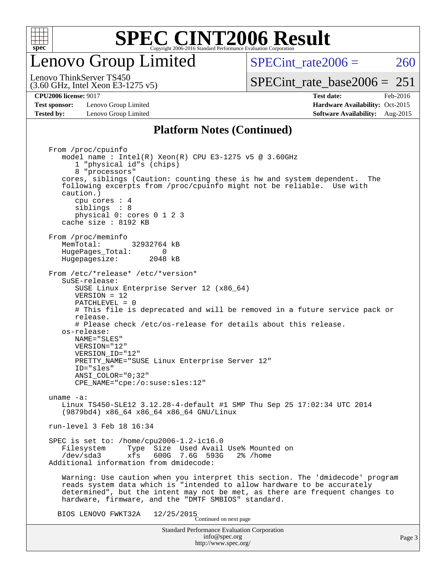

### enovo Group Limited

SPECint rate $2006 = 260$ 

(3.60 GHz, Intel Xeon E3-1275 v5) Lenovo ThinkServer TS450

**[Test sponsor:](http://www.spec.org/auto/cpu2006/Docs/result-fields.html#Testsponsor)** Lenovo Group Limited **[Hardware Availability:](http://www.spec.org/auto/cpu2006/Docs/result-fields.html#HardwareAvailability)** Oct-2015

[SPECint\\_rate\\_base2006 =](http://www.spec.org/auto/cpu2006/Docs/result-fields.html#SPECintratebase2006)  $251$ **[CPU2006 license:](http://www.spec.org/auto/cpu2006/Docs/result-fields.html#CPU2006license)** 9017 **[Test date:](http://www.spec.org/auto/cpu2006/Docs/result-fields.html#Testdate)** Feb-2016

**[Tested by:](http://www.spec.org/auto/cpu2006/Docs/result-fields.html#Testedby)** Lenovo Group Limited **[Software Availability:](http://www.spec.org/auto/cpu2006/Docs/result-fields.html#SoftwareAvailability)** Aug-2015

#### **[Platform Notes \(Continued\)](http://www.spec.org/auto/cpu2006/Docs/result-fields.html#PlatformNotes)**

Standard Performance Evaluation Corporation [info@spec.org](mailto:info@spec.org) <http://www.spec.org/> From /proc/cpuinfo model name : Intel(R) Xeon(R) CPU E3-1275 v5 @ 3.60GHz 1 "physical id"s (chips) 8 "processors" cores, siblings (Caution: counting these is hw and system dependent. The following excerpts from /proc/cpuinfo might not be reliable. Use with caution.) cpu cores : 4 siblings : 8 physical 0: cores 0 1 2 3 cache size : 8192 KB From /proc/meminfo MemTotal: 32932764 kB HugePages\_Total: 0<br>Hugepagesize: 2048 kB Hugepagesize: From /etc/\*release\* /etc/\*version\* SuSE-release: SUSE Linux Enterprise Server 12 (x86\_64) VERSION = 12 PATCHLEVEL = 0 # This file is deprecated and will be removed in a future service pack or release. # Please check /etc/os-release for details about this release. os-release: NAME="SLES" VERSION="12" VERSION\_ID="12" PRETTY\_NAME="SUSE Linux Enterprise Server 12" ID="sles" ANSI\_COLOR="0;32" CPE\_NAME="cpe:/o:suse:sles:12" uname -a: Linux TS450-SLE12 3.12.28-4-default #1 SMP Thu Sep 25 17:02:34 UTC 2014 (9879bd4) x86\_64 x86\_64 x86\_64 GNU/Linux run-level 3 Feb 18 16:34 SPEC is set to: /home/cpu2006-1.2-ic16.0 Filesystem Type Size Used Avail Use% Mounted on<br>
/dev/sda3 xfs 600G 7.6G 593G 2% /home 600G 7.6G 593G Additional information from dmidecode: Warning: Use caution when you interpret this section. The 'dmidecode' program reads system data which is "intended to allow hardware to be accurately determined", but the intent may not be met, as there are frequent changes to hardware, firmware, and the "DMTF SMBIOS" standard. BIOS LENOVO FWKT32A  $12/25/2015$ <br>Continued on next page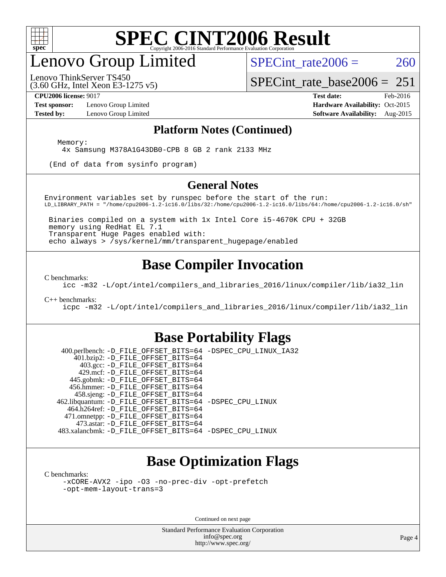

## enovo Group Limited

SPECint rate $2006 = 260$ 

(3.60 GHz, Intel Xeon E3-1275 v5) Lenovo ThinkServer TS450

[SPECint\\_rate\\_base2006 =](http://www.spec.org/auto/cpu2006/Docs/result-fields.html#SPECintratebase2006)  $251$ 

**[Test sponsor:](http://www.spec.org/auto/cpu2006/Docs/result-fields.html#Testsponsor)** Lenovo Group Limited **[Hardware Availability:](http://www.spec.org/auto/cpu2006/Docs/result-fields.html#HardwareAvailability)** Oct-2015

**[CPU2006 license:](http://www.spec.org/auto/cpu2006/Docs/result-fields.html#CPU2006license)** 9017 **[Test date:](http://www.spec.org/auto/cpu2006/Docs/result-fields.html#Testdate)** Feb-2016 **[Tested by:](http://www.spec.org/auto/cpu2006/Docs/result-fields.html#Testedby)** Lenovo Group Limited **[Software Availability:](http://www.spec.org/auto/cpu2006/Docs/result-fields.html#SoftwareAvailability)** Aug-2015

#### **[Platform Notes \(Continued\)](http://www.spec.org/auto/cpu2006/Docs/result-fields.html#PlatformNotes)**

Memory:

4x Samsung M378A1G43DB0-CPB 8 GB 2 rank 2133 MHz

(End of data from sysinfo program)

#### **[General Notes](http://www.spec.org/auto/cpu2006/Docs/result-fields.html#GeneralNotes)**

Environment variables set by runspec before the start of the run: LD\_LIBRARY\_PATH = "/home/cpu2006-1.2-ic16.0/libs/32:/home/cpu2006-1.2-ic16.0/libs/64:/home/cpu2006-1.2-ic16.0/sh"

 Binaries compiled on a system with 1x Intel Core i5-4670K CPU + 32GB memory using RedHat EL 7.1 Transparent Huge Pages enabled with: echo always > /sys/kernel/mm/transparent\_hugepage/enabled

### **[Base Compiler Invocation](http://www.spec.org/auto/cpu2006/Docs/result-fields.html#BaseCompilerInvocation)**

[C benchmarks](http://www.spec.org/auto/cpu2006/Docs/result-fields.html#Cbenchmarks):

[icc -m32 -L/opt/intel/compilers\\_and\\_libraries\\_2016/linux/compiler/lib/ia32\\_lin](http://www.spec.org/cpu2006/results/res2016q1/cpu2006-20160222-39038.flags.html#user_CCbase_intel_icc_e10256ba5924b668798078a321b0cb3f)

[C++ benchmarks:](http://www.spec.org/auto/cpu2006/Docs/result-fields.html#CXXbenchmarks)

[icpc -m32 -L/opt/intel/compilers\\_and\\_libraries\\_2016/linux/compiler/lib/ia32\\_lin](http://www.spec.org/cpu2006/results/res2016q1/cpu2006-20160222-39038.flags.html#user_CXXbase_intel_icpc_b4f50a394bdb4597aa5879c16bc3f5c5)

#### **[Base Portability Flags](http://www.spec.org/auto/cpu2006/Docs/result-fields.html#BasePortabilityFlags)**

 400.perlbench: [-D\\_FILE\\_OFFSET\\_BITS=64](http://www.spec.org/cpu2006/results/res2016q1/cpu2006-20160222-39038.flags.html#user_basePORTABILITY400_perlbench_file_offset_bits_64_438cf9856305ebd76870a2c6dc2689ab) [-DSPEC\\_CPU\\_LINUX\\_IA32](http://www.spec.org/cpu2006/results/res2016q1/cpu2006-20160222-39038.flags.html#b400.perlbench_baseCPORTABILITY_DSPEC_CPU_LINUX_IA32) 401.bzip2: [-D\\_FILE\\_OFFSET\\_BITS=64](http://www.spec.org/cpu2006/results/res2016q1/cpu2006-20160222-39038.flags.html#user_basePORTABILITY401_bzip2_file_offset_bits_64_438cf9856305ebd76870a2c6dc2689ab) 403.gcc: [-D\\_FILE\\_OFFSET\\_BITS=64](http://www.spec.org/cpu2006/results/res2016q1/cpu2006-20160222-39038.flags.html#user_basePORTABILITY403_gcc_file_offset_bits_64_438cf9856305ebd76870a2c6dc2689ab) 429.mcf: [-D\\_FILE\\_OFFSET\\_BITS=64](http://www.spec.org/cpu2006/results/res2016q1/cpu2006-20160222-39038.flags.html#user_basePORTABILITY429_mcf_file_offset_bits_64_438cf9856305ebd76870a2c6dc2689ab) 445.gobmk: [-D\\_FILE\\_OFFSET\\_BITS=64](http://www.spec.org/cpu2006/results/res2016q1/cpu2006-20160222-39038.flags.html#user_basePORTABILITY445_gobmk_file_offset_bits_64_438cf9856305ebd76870a2c6dc2689ab) 456.hmmer: [-D\\_FILE\\_OFFSET\\_BITS=64](http://www.spec.org/cpu2006/results/res2016q1/cpu2006-20160222-39038.flags.html#user_basePORTABILITY456_hmmer_file_offset_bits_64_438cf9856305ebd76870a2c6dc2689ab) 458.sjeng: [-D\\_FILE\\_OFFSET\\_BITS=64](http://www.spec.org/cpu2006/results/res2016q1/cpu2006-20160222-39038.flags.html#user_basePORTABILITY458_sjeng_file_offset_bits_64_438cf9856305ebd76870a2c6dc2689ab) 462.libquantum: [-D\\_FILE\\_OFFSET\\_BITS=64](http://www.spec.org/cpu2006/results/res2016q1/cpu2006-20160222-39038.flags.html#user_basePORTABILITY462_libquantum_file_offset_bits_64_438cf9856305ebd76870a2c6dc2689ab) [-DSPEC\\_CPU\\_LINUX](http://www.spec.org/cpu2006/results/res2016q1/cpu2006-20160222-39038.flags.html#b462.libquantum_baseCPORTABILITY_DSPEC_CPU_LINUX) 464.h264ref: [-D\\_FILE\\_OFFSET\\_BITS=64](http://www.spec.org/cpu2006/results/res2016q1/cpu2006-20160222-39038.flags.html#user_basePORTABILITY464_h264ref_file_offset_bits_64_438cf9856305ebd76870a2c6dc2689ab) 471.omnetpp: [-D\\_FILE\\_OFFSET\\_BITS=64](http://www.spec.org/cpu2006/results/res2016q1/cpu2006-20160222-39038.flags.html#user_basePORTABILITY471_omnetpp_file_offset_bits_64_438cf9856305ebd76870a2c6dc2689ab) 473.astar: [-D\\_FILE\\_OFFSET\\_BITS=64](http://www.spec.org/cpu2006/results/res2016q1/cpu2006-20160222-39038.flags.html#user_basePORTABILITY473_astar_file_offset_bits_64_438cf9856305ebd76870a2c6dc2689ab) 483.xalancbmk: [-D\\_FILE\\_OFFSET\\_BITS=64](http://www.spec.org/cpu2006/results/res2016q1/cpu2006-20160222-39038.flags.html#user_basePORTABILITY483_xalancbmk_file_offset_bits_64_438cf9856305ebd76870a2c6dc2689ab) [-DSPEC\\_CPU\\_LINUX](http://www.spec.org/cpu2006/results/res2016q1/cpu2006-20160222-39038.flags.html#b483.xalancbmk_baseCXXPORTABILITY_DSPEC_CPU_LINUX)

### **[Base Optimization Flags](http://www.spec.org/auto/cpu2006/Docs/result-fields.html#BaseOptimizationFlags)**

[C benchmarks](http://www.spec.org/auto/cpu2006/Docs/result-fields.html#Cbenchmarks):

[-xCORE-AVX2](http://www.spec.org/cpu2006/results/res2016q1/cpu2006-20160222-39038.flags.html#user_CCbase_f-xAVX2_5f5fc0cbe2c9f62c816d3e45806c70d7) [-ipo](http://www.spec.org/cpu2006/results/res2016q1/cpu2006-20160222-39038.flags.html#user_CCbase_f-ipo) [-O3](http://www.spec.org/cpu2006/results/res2016q1/cpu2006-20160222-39038.flags.html#user_CCbase_f-O3) [-no-prec-div](http://www.spec.org/cpu2006/results/res2016q1/cpu2006-20160222-39038.flags.html#user_CCbase_f-no-prec-div) [-opt-prefetch](http://www.spec.org/cpu2006/results/res2016q1/cpu2006-20160222-39038.flags.html#user_CCbase_f-opt-prefetch) [-opt-mem-layout-trans=3](http://www.spec.org/cpu2006/results/res2016q1/cpu2006-20160222-39038.flags.html#user_CCbase_f-opt-mem-layout-trans_a7b82ad4bd7abf52556d4961a2ae94d5)

Continued on next page

Standard Performance Evaluation Corporation [info@spec.org](mailto:info@spec.org) <http://www.spec.org/>

Page 4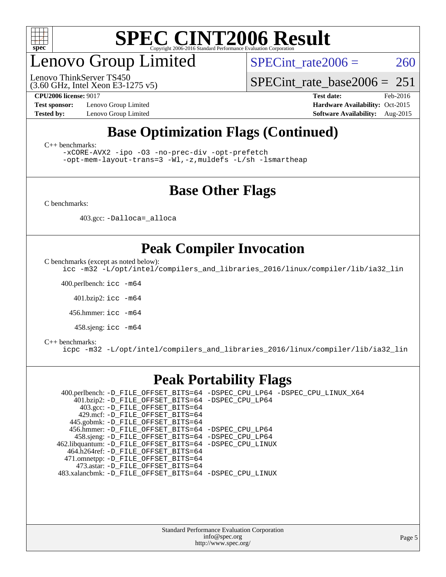

# enovo Group Limited

(3.60 GHz, Intel Xeon E3-1275 v5) Lenovo ThinkServer TS450

SPECint rate $2006 = 260$ 

[SPECint\\_rate\\_base2006 =](http://www.spec.org/auto/cpu2006/Docs/result-fields.html#SPECintratebase2006)  $251$ 

**[Test sponsor:](http://www.spec.org/auto/cpu2006/Docs/result-fields.html#Testsponsor)** Lenovo Group Limited **[Hardware Availability:](http://www.spec.org/auto/cpu2006/Docs/result-fields.html#HardwareAvailability)** Oct-2015

**[CPU2006 license:](http://www.spec.org/auto/cpu2006/Docs/result-fields.html#CPU2006license)** 9017 **[Test date:](http://www.spec.org/auto/cpu2006/Docs/result-fields.html#Testdate)** Feb-2016 **[Tested by:](http://www.spec.org/auto/cpu2006/Docs/result-fields.html#Testedby)** Lenovo Group Limited **[Software Availability:](http://www.spec.org/auto/cpu2006/Docs/result-fields.html#SoftwareAvailability)** Aug-2015

### **[Base Optimization Flags \(Continued\)](http://www.spec.org/auto/cpu2006/Docs/result-fields.html#BaseOptimizationFlags)**

[C++ benchmarks:](http://www.spec.org/auto/cpu2006/Docs/result-fields.html#CXXbenchmarks)

[-xCORE-AVX2](http://www.spec.org/cpu2006/results/res2016q1/cpu2006-20160222-39038.flags.html#user_CXXbase_f-xAVX2_5f5fc0cbe2c9f62c816d3e45806c70d7) [-ipo](http://www.spec.org/cpu2006/results/res2016q1/cpu2006-20160222-39038.flags.html#user_CXXbase_f-ipo) [-O3](http://www.spec.org/cpu2006/results/res2016q1/cpu2006-20160222-39038.flags.html#user_CXXbase_f-O3) [-no-prec-div](http://www.spec.org/cpu2006/results/res2016q1/cpu2006-20160222-39038.flags.html#user_CXXbase_f-no-prec-div) [-opt-prefetch](http://www.spec.org/cpu2006/results/res2016q1/cpu2006-20160222-39038.flags.html#user_CXXbase_f-opt-prefetch)

[-opt-mem-layout-trans=3](http://www.spec.org/cpu2006/results/res2016q1/cpu2006-20160222-39038.flags.html#user_CXXbase_f-opt-mem-layout-trans_a7b82ad4bd7abf52556d4961a2ae94d5) [-Wl,-z,muldefs](http://www.spec.org/cpu2006/results/res2016q1/cpu2006-20160222-39038.flags.html#user_CXXbase_link_force_multiple1_74079c344b956b9658436fd1b6dd3a8a) [-L/sh -lsmartheap](http://www.spec.org/cpu2006/results/res2016q1/cpu2006-20160222-39038.flags.html#user_CXXbase_SmartHeap_32f6c82aa1ed9c52345d30cf6e4a0499)

### **[Base Other Flags](http://www.spec.org/auto/cpu2006/Docs/result-fields.html#BaseOtherFlags)**

[C benchmarks](http://www.spec.org/auto/cpu2006/Docs/result-fields.html#Cbenchmarks):

403.gcc: [-Dalloca=\\_alloca](http://www.spec.org/cpu2006/results/res2016q1/cpu2006-20160222-39038.flags.html#b403.gcc_baseEXTRA_CFLAGS_Dalloca_be3056838c12de2578596ca5467af7f3)

### **[Peak Compiler Invocation](http://www.spec.org/auto/cpu2006/Docs/result-fields.html#PeakCompilerInvocation)**

[C benchmarks \(except as noted below\)](http://www.spec.org/auto/cpu2006/Docs/result-fields.html#Cbenchmarksexceptasnotedbelow):

[icc -m32 -L/opt/intel/compilers\\_and\\_libraries\\_2016/linux/compiler/lib/ia32\\_lin](http://www.spec.org/cpu2006/results/res2016q1/cpu2006-20160222-39038.flags.html#user_CCpeak_intel_icc_e10256ba5924b668798078a321b0cb3f)

400.perlbench: [icc -m64](http://www.spec.org/cpu2006/results/res2016q1/cpu2006-20160222-39038.flags.html#user_peakCCLD400_perlbench_intel_icc_64bit_bda6cc9af1fdbb0edc3795bac97ada53)

401.bzip2: [icc -m64](http://www.spec.org/cpu2006/results/res2016q1/cpu2006-20160222-39038.flags.html#user_peakCCLD401_bzip2_intel_icc_64bit_bda6cc9af1fdbb0edc3795bac97ada53)

456.hmmer: [icc -m64](http://www.spec.org/cpu2006/results/res2016q1/cpu2006-20160222-39038.flags.html#user_peakCCLD456_hmmer_intel_icc_64bit_bda6cc9af1fdbb0edc3795bac97ada53)

458.sjeng: [icc -m64](http://www.spec.org/cpu2006/results/res2016q1/cpu2006-20160222-39038.flags.html#user_peakCCLD458_sjeng_intel_icc_64bit_bda6cc9af1fdbb0edc3795bac97ada53)

#### [C++ benchmarks:](http://www.spec.org/auto/cpu2006/Docs/result-fields.html#CXXbenchmarks)

[icpc -m32 -L/opt/intel/compilers\\_and\\_libraries\\_2016/linux/compiler/lib/ia32\\_lin](http://www.spec.org/cpu2006/results/res2016q1/cpu2006-20160222-39038.flags.html#user_CXXpeak_intel_icpc_b4f50a394bdb4597aa5879c16bc3f5c5)

### **[Peak Portability Flags](http://www.spec.org/auto/cpu2006/Docs/result-fields.html#PeakPortabilityFlags)**

 400.perlbench: [-D\\_FILE\\_OFFSET\\_BITS=64](http://www.spec.org/cpu2006/results/res2016q1/cpu2006-20160222-39038.flags.html#user_peakPORTABILITY400_perlbench_file_offset_bits_64_438cf9856305ebd76870a2c6dc2689ab) [-DSPEC\\_CPU\\_LP64](http://www.spec.org/cpu2006/results/res2016q1/cpu2006-20160222-39038.flags.html#b400.perlbench_peakCPORTABILITY_DSPEC_CPU_LP64) [-DSPEC\\_CPU\\_LINUX\\_X64](http://www.spec.org/cpu2006/results/res2016q1/cpu2006-20160222-39038.flags.html#b400.perlbench_peakCPORTABILITY_DSPEC_CPU_LINUX_X64) 401.bzip2: [-D\\_FILE\\_OFFSET\\_BITS=64](http://www.spec.org/cpu2006/results/res2016q1/cpu2006-20160222-39038.flags.html#user_peakPORTABILITY401_bzip2_file_offset_bits_64_438cf9856305ebd76870a2c6dc2689ab) [-DSPEC\\_CPU\\_LP64](http://www.spec.org/cpu2006/results/res2016q1/cpu2006-20160222-39038.flags.html#suite_peakCPORTABILITY401_bzip2_DSPEC_CPU_LP64) 403.gcc: [-D\\_FILE\\_OFFSET\\_BITS=64](http://www.spec.org/cpu2006/results/res2016q1/cpu2006-20160222-39038.flags.html#user_peakPORTABILITY403_gcc_file_offset_bits_64_438cf9856305ebd76870a2c6dc2689ab) 429.mcf: [-D\\_FILE\\_OFFSET\\_BITS=64](http://www.spec.org/cpu2006/results/res2016q1/cpu2006-20160222-39038.flags.html#user_peakPORTABILITY429_mcf_file_offset_bits_64_438cf9856305ebd76870a2c6dc2689ab) 445.gobmk: [-D\\_FILE\\_OFFSET\\_BITS=64](http://www.spec.org/cpu2006/results/res2016q1/cpu2006-20160222-39038.flags.html#user_peakPORTABILITY445_gobmk_file_offset_bits_64_438cf9856305ebd76870a2c6dc2689ab) 456.hmmer: [-D\\_FILE\\_OFFSET\\_BITS=64](http://www.spec.org/cpu2006/results/res2016q1/cpu2006-20160222-39038.flags.html#user_peakPORTABILITY456_hmmer_file_offset_bits_64_438cf9856305ebd76870a2c6dc2689ab) [-DSPEC\\_CPU\\_LP64](http://www.spec.org/cpu2006/results/res2016q1/cpu2006-20160222-39038.flags.html#suite_peakCPORTABILITY456_hmmer_DSPEC_CPU_LP64) 458.sjeng: [-D\\_FILE\\_OFFSET\\_BITS=64](http://www.spec.org/cpu2006/results/res2016q1/cpu2006-20160222-39038.flags.html#user_peakPORTABILITY458_sjeng_file_offset_bits_64_438cf9856305ebd76870a2c6dc2689ab) [-DSPEC\\_CPU\\_LP64](http://www.spec.org/cpu2006/results/res2016q1/cpu2006-20160222-39038.flags.html#suite_peakCPORTABILITY458_sjeng_DSPEC_CPU_LP64) 462.libquantum: [-D\\_FILE\\_OFFSET\\_BITS=64](http://www.spec.org/cpu2006/results/res2016q1/cpu2006-20160222-39038.flags.html#user_peakPORTABILITY462_libquantum_file_offset_bits_64_438cf9856305ebd76870a2c6dc2689ab) [-DSPEC\\_CPU\\_LINUX](http://www.spec.org/cpu2006/results/res2016q1/cpu2006-20160222-39038.flags.html#b462.libquantum_peakCPORTABILITY_DSPEC_CPU_LINUX) 464.h264ref: [-D\\_FILE\\_OFFSET\\_BITS=64](http://www.spec.org/cpu2006/results/res2016q1/cpu2006-20160222-39038.flags.html#user_peakPORTABILITY464_h264ref_file_offset_bits_64_438cf9856305ebd76870a2c6dc2689ab) 471.omnetpp: [-D\\_FILE\\_OFFSET\\_BITS=64](http://www.spec.org/cpu2006/results/res2016q1/cpu2006-20160222-39038.flags.html#user_peakPORTABILITY471_omnetpp_file_offset_bits_64_438cf9856305ebd76870a2c6dc2689ab) 473.astar: [-D\\_FILE\\_OFFSET\\_BITS=64](http://www.spec.org/cpu2006/results/res2016q1/cpu2006-20160222-39038.flags.html#user_peakPORTABILITY473_astar_file_offset_bits_64_438cf9856305ebd76870a2c6dc2689ab) 483.xalancbmk: [-D\\_FILE\\_OFFSET\\_BITS=64](http://www.spec.org/cpu2006/results/res2016q1/cpu2006-20160222-39038.flags.html#user_peakPORTABILITY483_xalancbmk_file_offset_bits_64_438cf9856305ebd76870a2c6dc2689ab) [-DSPEC\\_CPU\\_LINUX](http://www.spec.org/cpu2006/results/res2016q1/cpu2006-20160222-39038.flags.html#b483.xalancbmk_peakCXXPORTABILITY_DSPEC_CPU_LINUX)

> Standard Performance Evaluation Corporation [info@spec.org](mailto:info@spec.org) <http://www.spec.org/>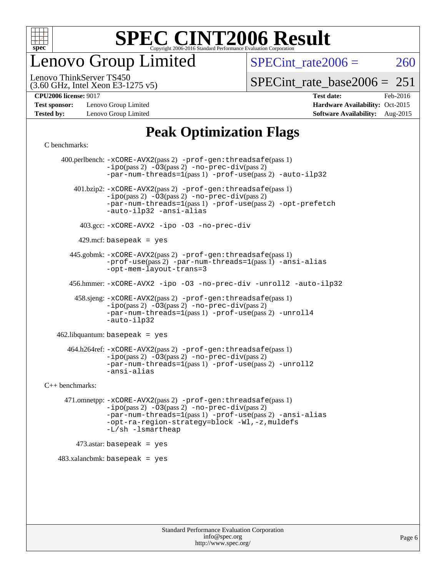

enovo Group Limited

SPECint rate $2006 = 260$ 

(3.60 GHz, Intel Xeon E3-1275 v5) Lenovo ThinkServer TS450

[SPECint\\_rate\\_base2006 =](http://www.spec.org/auto/cpu2006/Docs/result-fields.html#SPECintratebase2006)  $251$ 

**[Test sponsor:](http://www.spec.org/auto/cpu2006/Docs/result-fields.html#Testsponsor)** Lenovo Group Limited **[Hardware Availability:](http://www.spec.org/auto/cpu2006/Docs/result-fields.html#HardwareAvailability)** Oct-2015

**[CPU2006 license:](http://www.spec.org/auto/cpu2006/Docs/result-fields.html#CPU2006license)** 9017 **[Test date:](http://www.spec.org/auto/cpu2006/Docs/result-fields.html#Testdate)** Feb-2016 **[Tested by:](http://www.spec.org/auto/cpu2006/Docs/result-fields.html#Testedby)** Lenovo Group Limited **[Software Availability:](http://www.spec.org/auto/cpu2006/Docs/result-fields.html#SoftwareAvailability)** Aug-2015

### **[Peak Optimization Flags](http://www.spec.org/auto/cpu2006/Docs/result-fields.html#PeakOptimizationFlags)**

[C benchmarks](http://www.spec.org/auto/cpu2006/Docs/result-fields.html#Cbenchmarks):

 400.perlbench: [-xCORE-AVX2](http://www.spec.org/cpu2006/results/res2016q1/cpu2006-20160222-39038.flags.html#user_peakPASS2_CFLAGSPASS2_LDCFLAGS400_perlbench_f-xAVX2_5f5fc0cbe2c9f62c816d3e45806c70d7)(pass 2) [-prof-gen:threadsafe](http://www.spec.org/cpu2006/results/res2016q1/cpu2006-20160222-39038.flags.html#user_peakPASS1_CFLAGSPASS1_LDCFLAGS400_perlbench_prof_gen_21a26eb79f378b550acd7bec9fe4467a)(pass 1)  $-i\text{po}(pass 2) -\overline{03}(pass 2)$  [-no-prec-div](http://www.spec.org/cpu2006/results/res2016q1/cpu2006-20160222-39038.flags.html#user_peakPASS2_CFLAGSPASS2_LDCFLAGS400_perlbench_f-no-prec-div)(pass 2) [-par-num-threads=1](http://www.spec.org/cpu2006/results/res2016q1/cpu2006-20160222-39038.flags.html#user_peakPASS1_CFLAGSPASS1_LDCFLAGS400_perlbench_par_num_threads_786a6ff141b4e9e90432e998842df6c2)(pass 1) [-prof-use](http://www.spec.org/cpu2006/results/res2016q1/cpu2006-20160222-39038.flags.html#user_peakPASS2_CFLAGSPASS2_LDCFLAGS400_perlbench_prof_use_bccf7792157ff70d64e32fe3e1250b55)(pass 2) [-auto-ilp32](http://www.spec.org/cpu2006/results/res2016q1/cpu2006-20160222-39038.flags.html#user_peakCOPTIMIZE400_perlbench_f-auto-ilp32) 401.bzip2: [-xCORE-AVX2](http://www.spec.org/cpu2006/results/res2016q1/cpu2006-20160222-39038.flags.html#user_peakPASS2_CFLAGSPASS2_LDCFLAGS401_bzip2_f-xAVX2_5f5fc0cbe2c9f62c816d3e45806c70d7)(pass 2) [-prof-gen:threadsafe](http://www.spec.org/cpu2006/results/res2016q1/cpu2006-20160222-39038.flags.html#user_peakPASS1_CFLAGSPASS1_LDCFLAGS401_bzip2_prof_gen_21a26eb79f378b550acd7bec9fe4467a)(pass 1)  $-ipo(pass 2) -\overline{O}3(pass 2)$  $-ipo(pass 2) -\overline{O}3(pass 2)$  [-no-prec-div](http://www.spec.org/cpu2006/results/res2016q1/cpu2006-20160222-39038.flags.html#user_peakPASS2_CFLAGSPASS2_LDCFLAGS401_bzip2_f-no-prec-div)(pass 2) [-par-num-threads=1](http://www.spec.org/cpu2006/results/res2016q1/cpu2006-20160222-39038.flags.html#user_peakPASS1_CFLAGSPASS1_LDCFLAGS401_bzip2_par_num_threads_786a6ff141b4e9e90432e998842df6c2)(pass 1) [-prof-use](http://www.spec.org/cpu2006/results/res2016q1/cpu2006-20160222-39038.flags.html#user_peakPASS2_CFLAGSPASS2_LDCFLAGS401_bzip2_prof_use_bccf7792157ff70d64e32fe3e1250b55)(pass 2) [-opt-prefetch](http://www.spec.org/cpu2006/results/res2016q1/cpu2006-20160222-39038.flags.html#user_peakCOPTIMIZE401_bzip2_f-opt-prefetch) [-auto-ilp32](http://www.spec.org/cpu2006/results/res2016q1/cpu2006-20160222-39038.flags.html#user_peakCOPTIMIZE401_bzip2_f-auto-ilp32) [-ansi-alias](http://www.spec.org/cpu2006/results/res2016q1/cpu2006-20160222-39038.flags.html#user_peakCOPTIMIZE401_bzip2_f-ansi-alias) 403.gcc: [-xCORE-AVX2](http://www.spec.org/cpu2006/results/res2016q1/cpu2006-20160222-39038.flags.html#user_peakCOPTIMIZE403_gcc_f-xAVX2_5f5fc0cbe2c9f62c816d3e45806c70d7) [-ipo](http://www.spec.org/cpu2006/results/res2016q1/cpu2006-20160222-39038.flags.html#user_peakCOPTIMIZE403_gcc_f-ipo) [-O3](http://www.spec.org/cpu2006/results/res2016q1/cpu2006-20160222-39038.flags.html#user_peakCOPTIMIZE403_gcc_f-O3) [-no-prec-div](http://www.spec.org/cpu2006/results/res2016q1/cpu2006-20160222-39038.flags.html#user_peakCOPTIMIZE403_gcc_f-no-prec-div)  $429$ .mcf: basepeak = yes 445.gobmk: [-xCORE-AVX2](http://www.spec.org/cpu2006/results/res2016q1/cpu2006-20160222-39038.flags.html#user_peakPASS2_CFLAGSPASS2_LDCFLAGS445_gobmk_f-xAVX2_5f5fc0cbe2c9f62c816d3e45806c70d7)(pass 2) [-prof-gen:threadsafe](http://www.spec.org/cpu2006/results/res2016q1/cpu2006-20160222-39038.flags.html#user_peakPASS1_CFLAGSPASS1_LDCFLAGS445_gobmk_prof_gen_21a26eb79f378b550acd7bec9fe4467a)(pass 1) [-prof-use](http://www.spec.org/cpu2006/results/res2016q1/cpu2006-20160222-39038.flags.html#user_peakPASS2_CFLAGSPASS2_LDCFLAGS445_gobmk_prof_use_bccf7792157ff70d64e32fe3e1250b55)(pass 2) [-par-num-threads=1](http://www.spec.org/cpu2006/results/res2016q1/cpu2006-20160222-39038.flags.html#user_peakPASS1_CFLAGSPASS1_LDCFLAGS445_gobmk_par_num_threads_786a6ff141b4e9e90432e998842df6c2)(pass 1) [-ansi-alias](http://www.spec.org/cpu2006/results/res2016q1/cpu2006-20160222-39038.flags.html#user_peakCOPTIMIZE445_gobmk_f-ansi-alias) [-opt-mem-layout-trans=3](http://www.spec.org/cpu2006/results/res2016q1/cpu2006-20160222-39038.flags.html#user_peakCOPTIMIZE445_gobmk_f-opt-mem-layout-trans_a7b82ad4bd7abf52556d4961a2ae94d5) 456.hmmer: [-xCORE-AVX2](http://www.spec.org/cpu2006/results/res2016q1/cpu2006-20160222-39038.flags.html#user_peakCOPTIMIZE456_hmmer_f-xAVX2_5f5fc0cbe2c9f62c816d3e45806c70d7) [-ipo](http://www.spec.org/cpu2006/results/res2016q1/cpu2006-20160222-39038.flags.html#user_peakCOPTIMIZE456_hmmer_f-ipo) [-O3](http://www.spec.org/cpu2006/results/res2016q1/cpu2006-20160222-39038.flags.html#user_peakCOPTIMIZE456_hmmer_f-O3) [-no-prec-div](http://www.spec.org/cpu2006/results/res2016q1/cpu2006-20160222-39038.flags.html#user_peakCOPTIMIZE456_hmmer_f-no-prec-div) [-unroll2](http://www.spec.org/cpu2006/results/res2016q1/cpu2006-20160222-39038.flags.html#user_peakCOPTIMIZE456_hmmer_f-unroll_784dae83bebfb236979b41d2422d7ec2) [-auto-ilp32](http://www.spec.org/cpu2006/results/res2016q1/cpu2006-20160222-39038.flags.html#user_peakCOPTIMIZE456_hmmer_f-auto-ilp32) 458.sjeng: [-xCORE-AVX2](http://www.spec.org/cpu2006/results/res2016q1/cpu2006-20160222-39038.flags.html#user_peakPASS2_CFLAGSPASS2_LDCFLAGS458_sjeng_f-xAVX2_5f5fc0cbe2c9f62c816d3e45806c70d7)(pass 2) [-prof-gen:threadsafe](http://www.spec.org/cpu2006/results/res2016q1/cpu2006-20160222-39038.flags.html#user_peakPASS1_CFLAGSPASS1_LDCFLAGS458_sjeng_prof_gen_21a26eb79f378b550acd7bec9fe4467a)(pass 1)  $-i\text{po}(pass 2) -03(pass 2) -no-prec-div(pass 2)$  $-i\text{po}(pass 2) -03(pass 2) -no-prec-div(pass 2)$  $-i\text{po}(pass 2) -03(pass 2) -no-prec-div(pass 2)$ [-par-num-threads=1](http://www.spec.org/cpu2006/results/res2016q1/cpu2006-20160222-39038.flags.html#user_peakPASS1_CFLAGSPASS1_LDCFLAGS458_sjeng_par_num_threads_786a6ff141b4e9e90432e998842df6c2)(pass 1) [-prof-use](http://www.spec.org/cpu2006/results/res2016q1/cpu2006-20160222-39038.flags.html#user_peakPASS2_CFLAGSPASS2_LDCFLAGS458_sjeng_prof_use_bccf7792157ff70d64e32fe3e1250b55)(pass 2) [-unroll4](http://www.spec.org/cpu2006/results/res2016q1/cpu2006-20160222-39038.flags.html#user_peakCOPTIMIZE458_sjeng_f-unroll_4e5e4ed65b7fd20bdcd365bec371b81f) [-auto-ilp32](http://www.spec.org/cpu2006/results/res2016q1/cpu2006-20160222-39038.flags.html#user_peakCOPTIMIZE458_sjeng_f-auto-ilp32) 462.libquantum: basepeak = yes 464.h264ref: [-xCORE-AVX2](http://www.spec.org/cpu2006/results/res2016q1/cpu2006-20160222-39038.flags.html#user_peakPASS2_CFLAGSPASS2_LDCFLAGS464_h264ref_f-xAVX2_5f5fc0cbe2c9f62c816d3e45806c70d7)(pass 2) [-prof-gen:threadsafe](http://www.spec.org/cpu2006/results/res2016q1/cpu2006-20160222-39038.flags.html#user_peakPASS1_CFLAGSPASS1_LDCFLAGS464_h264ref_prof_gen_21a26eb79f378b550acd7bec9fe4467a)(pass 1) [-ipo](http://www.spec.org/cpu2006/results/res2016q1/cpu2006-20160222-39038.flags.html#user_peakPASS2_CFLAGSPASS2_LDCFLAGS464_h264ref_f-ipo)(pass 2) [-O3](http://www.spec.org/cpu2006/results/res2016q1/cpu2006-20160222-39038.flags.html#user_peakPASS2_CFLAGSPASS2_LDCFLAGS464_h264ref_f-O3)(pass 2) [-no-prec-div](http://www.spec.org/cpu2006/results/res2016q1/cpu2006-20160222-39038.flags.html#user_peakPASS2_CFLAGSPASS2_LDCFLAGS464_h264ref_f-no-prec-div)(pass 2) [-par-num-threads=1](http://www.spec.org/cpu2006/results/res2016q1/cpu2006-20160222-39038.flags.html#user_peakPASS1_CFLAGSPASS1_LDCFLAGS464_h264ref_par_num_threads_786a6ff141b4e9e90432e998842df6c2)(pass 1) [-prof-use](http://www.spec.org/cpu2006/results/res2016q1/cpu2006-20160222-39038.flags.html#user_peakPASS2_CFLAGSPASS2_LDCFLAGS464_h264ref_prof_use_bccf7792157ff70d64e32fe3e1250b55)(pass 2) [-unroll2](http://www.spec.org/cpu2006/results/res2016q1/cpu2006-20160222-39038.flags.html#user_peakCOPTIMIZE464_h264ref_f-unroll_784dae83bebfb236979b41d2422d7ec2) [-ansi-alias](http://www.spec.org/cpu2006/results/res2016q1/cpu2006-20160222-39038.flags.html#user_peakCOPTIMIZE464_h264ref_f-ansi-alias) [C++ benchmarks:](http://www.spec.org/auto/cpu2006/Docs/result-fields.html#CXXbenchmarks) 471.omnetpp: [-xCORE-AVX2](http://www.spec.org/cpu2006/results/res2016q1/cpu2006-20160222-39038.flags.html#user_peakPASS2_CXXFLAGSPASS2_LDCXXFLAGS471_omnetpp_f-xAVX2_5f5fc0cbe2c9f62c816d3e45806c70d7)(pass 2) [-prof-gen:threadsafe](http://www.spec.org/cpu2006/results/res2016q1/cpu2006-20160222-39038.flags.html#user_peakPASS1_CXXFLAGSPASS1_LDCXXFLAGS471_omnetpp_prof_gen_21a26eb79f378b550acd7bec9fe4467a)(pass 1) [-ipo](http://www.spec.org/cpu2006/results/res2016q1/cpu2006-20160222-39038.flags.html#user_peakPASS2_CXXFLAGSPASS2_LDCXXFLAGS471_omnetpp_f-ipo)(pass 2) [-O3](http://www.spec.org/cpu2006/results/res2016q1/cpu2006-20160222-39038.flags.html#user_peakPASS2_CXXFLAGSPASS2_LDCXXFLAGS471_omnetpp_f-O3)(pass 2) [-no-prec-div](http://www.spec.org/cpu2006/results/res2016q1/cpu2006-20160222-39038.flags.html#user_peakPASS2_CXXFLAGSPASS2_LDCXXFLAGS471_omnetpp_f-no-prec-div)(pass 2) [-par-num-threads=1](http://www.spec.org/cpu2006/results/res2016q1/cpu2006-20160222-39038.flags.html#user_peakPASS1_CXXFLAGSPASS1_LDCXXFLAGS471_omnetpp_par_num_threads_786a6ff141b4e9e90432e998842df6c2)(pass 1) [-prof-use](http://www.spec.org/cpu2006/results/res2016q1/cpu2006-20160222-39038.flags.html#user_peakPASS2_CXXFLAGSPASS2_LDCXXFLAGS471_omnetpp_prof_use_bccf7792157ff70d64e32fe3e1250b55)(pass 2) [-ansi-alias](http://www.spec.org/cpu2006/results/res2016q1/cpu2006-20160222-39038.flags.html#user_peakCXXOPTIMIZE471_omnetpp_f-ansi-alias) [-opt-ra-region-strategy=block](http://www.spec.org/cpu2006/results/res2016q1/cpu2006-20160222-39038.flags.html#user_peakCXXOPTIMIZE471_omnetpp_f-opt-ra-region-strategy_a0a37c372d03933b2a18d4af463c1f69) [-Wl,-z,muldefs](http://www.spec.org/cpu2006/results/res2016q1/cpu2006-20160222-39038.flags.html#user_peakEXTRA_LDFLAGS471_omnetpp_link_force_multiple1_74079c344b956b9658436fd1b6dd3a8a) [-L/sh -lsmartheap](http://www.spec.org/cpu2006/results/res2016q1/cpu2006-20160222-39038.flags.html#user_peakEXTRA_LIBS471_omnetpp_SmartHeap_32f6c82aa1ed9c52345d30cf6e4a0499)  $473$ .astar: basepeak = yes 483.xalancbmk: basepeak = yes